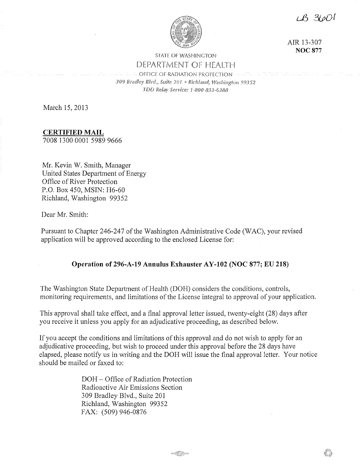LB 31001



AIR 13-307 **NOC877** 

# STATE OF WASHINGTON DEPARTMENT OF HEAITH

OFFICE OF RADIATION PROTECTION *309 Bradley Blvd., Suite 201* '' *Rich!amt 99352 TDD Relay Service: 1-800-833-6388* 

March 15, 2013

**CERTIFIED MAIL**  7008 1300 0001 5989 9666

Mr. Kevin W. Smith, Manager United States Department of Energy Office of River Protection P.O. Box 450, MSIN: H6-60 Richland, Washington 99352

Dear Mr. Smith:

Pursuant to Chapter 246-247 of the Washington Administrative Code (WAC), your revised application will be approved according to the enclosed License for:

# **Operation of 296-A-19 Annulus Exhauster AY-102 (NOC 877; EU 218)**

The Washington State Department of Health (DOH) considers the conditions, controls, monitoring requirements, and limitations of the License integral to approval of your application.

This approval shall take effect, and a final approval letter issued, twenty-eight (28) days after you receive it unless you apply for an adjudicative proceeding, as described below.

If you accept the conditions and limitations of this approval and do not wish to apply for an adjudicative proceeding, but wish to proceed under this approval before the 28 days have elapsed, please notify us in writing and the DOH will issue the final approval letter. Your notice should be mailed or faxed to:

> DOH - Office of Radiation Protection Radioactive Air Emissions Section 309 Bradley Blvd., Suite 201 Richland, Washington 99352 FAX: (509) 946-0876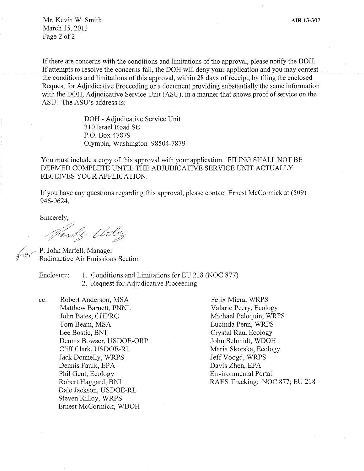Mr. Kevin W. Smith March 15, 2013 Page 2 of 2

If there are concerns with the conditions and limitations of the approval, please notify the DOH. If attempts to resolve the concerns fail, the DOH will deny your application and you may contest the conditions and limitations of this approval, within 28 days of receipt, by filing the enclosed Request for Adjudicative Proceeding or a document providing substantially the same information with the DOH, Adjudicative Service Unit (ASU), in a manner that shows proof of service on the ASU. The ASU's address is:

> DOH - Adjudicative Service Unit 310 Israel Road SE P.O. Box 47879 Olympia, Washington 98504-7879

You must include a copy of this approval with your application. FILING SHALL NOT BE DEEMED COMPLETE UNTIL THE ADJUDICATIVE SERVICE UNIT ACTUALLY RECEIVES YOUR APPLICATION.

If you have any questions regarding this approval, please contact Ernest McCormick at (509) 946-0624.

Sincerely,

Nandy Udley

 $\leftarrow P$ . John Martell, Manager Radioactive Air Emissions Section

- Enclosure: 1. Conditions and Limitations for EU 218 (NOC 877)
	- 2. Request for Adjudicative Proceeding

cc: Robert Anderson, MSA Matthew Barnett, PNNL John Bates, CHPRC Tom Beam, MSA Lee Bostic, BNI Dennis Bowser, USDOE-ORP Cliff Clark, USDOE-RL Jack Donnelly, WRPS Dennis Faulk, EPA Phil Gent, Ecology Robert Haggard, BNI Dale Jackson, USDOE-RL Steven Killoy, WRPS Ernest McCormick, WDOH

Felix Miera, WRPS Valarie Peery, Ecology Michael Peloquin, WRPS Lucinda Penn, WRPS Crystal Rau, Ecology John Schmidt, WDOH Maria Skorska, Ecology Jeff Voogd, WRPS Davis Zhen, EPA Environmental Portal RAES Tracking: NOC 877; EU 218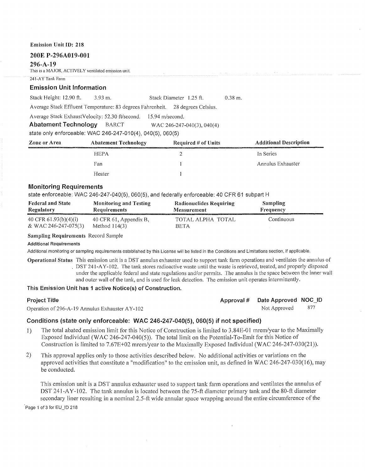# **200E P-296A019-001**

#### **296-A-19**

This is a MAJOR, ACTIVELY ventilated emission unit.

#### 241-A Y Tank Farm

# **Emission Unit Information**

Stack Height: 12.90 ft. 3.93 m. Stack Diameter 1.25 ft. 0.38 m.

Average Stack Effluent Temperature: 83 degrees Fahrenheit. 28 degrees Celsius.

Average Stack ExhaustVelocity: 52.30 ft/second. 15.94 m/second.

**Abatement Technology** BARCT WAC 246-247-040(3), 040(4)

state only enforceable: WAC 246-247-010(4), 040(5), 060(5)

| Zone or Area | <b>Abatement Technology</b> | Required # of Units | <b>Additional Description</b><br>the state and a substitute and address to the state of the state of the state of the state of the state of the |
|--------------|-----------------------------|---------------------|-------------------------------------------------------------------------------------------------------------------------------------------------|
|              | <b>HEPA</b>                 |                     | In Series                                                                                                                                       |
|              | Fan                         |                     | Annulus Exhauster                                                                                                                               |
|              | Heater                      |                     |                                                                                                                                                 |

# **Monitoring Requirements**

state enforceable: WAC 246-247-040(5), 060(5), and federally enforceable: 40 CFR 61 subpart H

| <b>Federal and State</b><br>Regulatory<br>a restriction of the contract of the contract of the contract of the contract of the contract of the contract of the contract of the contract of the contract of the contract of the contract of the contract of the contract | <b>Monitoring and Testing</b><br><b>Requirements</b> | Radionuclides Requiring<br><b>Measurement</b> | <b>Sampling</b><br>Frequency |
|-------------------------------------------------------------------------------------------------------------------------------------------------------------------------------------------------------------------------------------------------------------------------|------------------------------------------------------|-----------------------------------------------|------------------------------|
| 40 CFR $61.93(b)(4)(i)$                                                                                                                                                                                                                                                 | 40 CFR 61, Appendix B,                               | TOTAL ALPHA TOTAL                             | Continuous                   |
| & WAC 246-247-075(3)                                                                                                                                                                                                                                                    | Method $114(3)$                                      | BETA                                          |                              |

#### **Sampling Requirements** Record Sample

#### **Additional Requirements**

Additional monitoring or sampling requirements established by this License will be listed in the Conditions and Limitations section, if applicable.

**Operational Status** This emission unit is a DST annulus exhauster used to support tank farm operations and ventilates the annulus of DST 241-A Y-102. The tank stores radioactive waste until the waste is retrieved, treated, and properly disposed under the applicable federal and state regulations and/or permits. The annulus is the space between the inner wall and outer wall of the tank, and is used for leak detection. The emission unit operates intermittently.

# **This Emission Unit has 1 active Notice(s) of Construction.**

Operation of 296-A-19 Annulus Exhauster AY-102 Not Approved 877

# **Project Title Approval # Date Approved NOC\_ID Approval # Date Approved NOC\_ID**

# **Conditions (state only enforceable: WAC 246-247-040(5), 060(5) if not specified)**

- 1) The total abated emission limit for this Notice of Construction is limited to 3.84E-01 mrem/year to the Maximally Exposed Individual (WAC 246-247-040(5)). The total limit on the Potential-To-Emit for this Notice of Construction is limited to  $7.67E+02$  mrem/year to the Maximally Exposed Individual (WAC 246-247-030(21)).
- 2) This approval applies only to those activities described below. No additional activities or variations on the approved activities that constitute a "modification" to the emission unit, as defined in WAC 246-247-030(16), may be conducted.

This emission unit is a DST annulus exhauster used to support tank farm operations and ventilates the annulus of DST 241-AY-102. The tank annulus is located between the 75-ft diameter primary tank and the 80-ft diameter secondary liner resulting in a nominal 2.5-ft wide annular space wrapping around the entire circumference of the

Page 1 of 3 for EU\_ID 218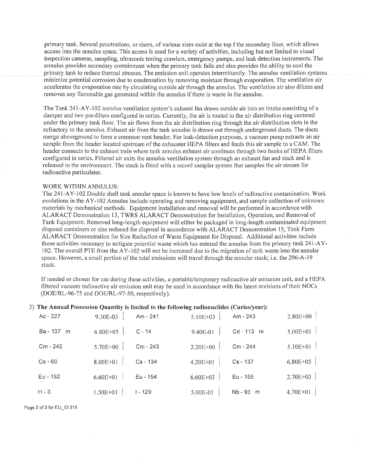primary tank. Several penetrations, or risers, of various sizes exist at the top f the secondary liner, which allows access into the annulus space. This access is used for a variety of activities, including but not limited to visual inspection cameras, sampling, ultrasonic testing crawlers, emergency pumps, and leak detection instruments. The annulus provides secondary containment when the primary tank fails and also provides the ability to cool the primary tank to reduce thermal stresses. The emission unit operates intermittently. The annulus ventilation systems minimize potential corrosion due to condensation by removing moisture through evaporation. The ventilation air accelerates the evaporation rate by circulating outside air through the annulus. The ventilation air also dilutes and removes any flammable gas generated within the annulus if there is waste in the annulus.

The Tank 241-AY-102 annulus ventilation system's exhaust fan draws outside air into an intake consisting ofa damper and two pre-filters configured in series. Currently, the air is routed to the air distribution ring centered under the primary tank floor. The air flows from the air distribution ring through the air distribution slots in the refractory to the annulus. Exhaust air from the tank annulus is drawn out through underground ducts. The ducts merge aboveground to form a common vent header. For leak-detection purposes, a vacuum pump extracts an air sample from the header located upstream of the exhauster HEPA filters and feeds this air sample to a CAM. The header connects to the exhaust train where tank annulus exhaust air continues through two banks of HEPA filters configured in series. Filtered air exits the annulus ventilation system through an exhaust fan and stack and is released to the environment. The stack is fitted with a record sampler system that samples the airstream for radioactive particulates.

# WORK WITHIN ANNULUS:

The 241-A Y-102 Double shell tank annular space is known to have low levels of radioactive contamination. Work evolutions in the AY-102 Annulus include operating and removing equipment, and sample collection of unknown materials by mechanical methods. Equipment installation and removal will be perfonned in accordance with ALARACT Demonstration 13, TWRS ALARACT Demonstration for Installation, Operation, and Removal of Tank Equipment. Removed long-length equipment will either be packaged in long-length contaminated equipment disposal containers or size reduced for disposal in accordance with ALARACT Demonstration 15, Tank Farm ALARACT Demonstration for Size Reduction of Waste Equipment for Disposal. Additional activities include those activities necessary to mitigate potential waste which has entered the annulus from the primary tank 241-A Y-102. The overall PTE from the AY-102 will not be increased due to the migration of tank waste into the annular space. However, a small portion of the total emissions will travel through the annular stack; i.e. the 296-A-19 stack.

If needed or chosen for use during these activities, a portable/temporary radioactive air emission unit, and a HEPA filtered vacuum radioactive air emission unit may be used in accordance with the latest revisions of their NOCs (DOE/RL-96-75 and DOE/RL-97-50, respectively).

#### 3) **The Annual Possession Quantity is limited to the following radionuclides (Curies/year):**

| $Ac - 227$    | 9.30E-03     | Am - 241  | 5.10E+03     | Am - 243     | $2.80E + 00$ |
|---------------|--------------|-----------|--------------|--------------|--------------|
| Ba - 137<br>m | $6.80E + 05$ | $C - 14$  | 9.40E-01     | Cd-113 m     | $5.00E + 01$ |
| $Cm - 242$    | 5.70E+00     | Cm - 243  | 2.20E+00     | Cm - 244     | 5.10E+01     |
| $Co - 60$     | 8.00E+01     | Cs - 134  | $4.20E + 01$ | $Cs - 137$   | 6.80E+05     |
| $Eu - 152$    | $6.60E + 01$ | Eu - 154  | $6.60E + 03$ | Eu - 155     | 2.70E+03     |
| $H - 3$       | 1.50E+01     | $1 - 129$ | 5.00E-01     | Nb - 93<br>m | 4.70E+01     |

Page 2 of 3 for EU\_ID 218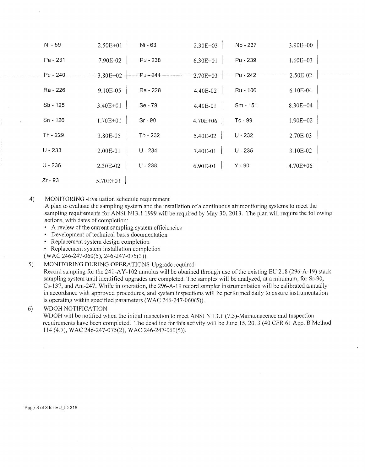| Ni - 59    | 2.50E+01 | Ni - 63   | 2.30E+03     | Np - 237  | 3.90E+00   |
|------------|----------|-----------|--------------|-----------|------------|
| Pa - 231   | 7.90E-02 | Pu - 238  | 6.30E+01     | Pu - 239  | 1.60E+03   |
| $Pu - 240$ | 3.80E+02 | ัPu - 241 | $2.70E + 03$ | Pu - 242  | $2.50E-02$ |
| Ra - 226   | 9.10E-05 | Ra - 228  | 4.40E-02     | Ru - 106  | 6.10E-04   |
| Sb - 125   | 3.40E+01 | Se - 79   | 4.40E-01     | Sm - 151  | 8.30E+04   |
| Sn - 126   | 1.70E+01 | $Sr - 90$ | 4.70E+06     | Tc-99     | 1.90E+02   |
| Th - 229   | 3.80E-05 | Th - 232  | 5.40E-02     | $U - 232$ | 2.70E-03   |
| $U - 233$  | 2.00E-01 | U - 234   | 7.40E-01     | $U - 235$ | 3.10E-02   |
| $U - 236$  | 2.30E-02 | $U - 238$ | 6.90E-01     | $Y - 90$  | 4.70E+06   |
| Zr - 93    | 5.70E+01 |           |              |           |            |

# 4) MONITORING -Evaluation schedule requirement

A plan to evaluate the sampling system and the installation of a continuous air monitoring systems to meet the sampling requirements for ANSI N13.1 1999 will be required by May 30, 2013. The plan will require the following actions, with dates of completion:

- A review of the current sampling system efficiencies
- Development of technical basis documentation
- Replacement system design completion
- Replacement system installation completion
- (WAC 246-247-060(5), 246-247-075(3)).

# 5) MONITORING DURING OPERATIONS-Upgrade required

Record sampling for the 241-AY-102 annulus will be obtained through use of the existing EU 218 (296-A-19) stack sampling system until identified upgrades are completed. The samples will be analyzed, at a minimum, for Sr-90, Cs-137, and Am-247. While in operation, the 296-A-19 record sampler instrumentation will be calibrated annually in accordance with approved procedures, and system inspections will be performed daily to ensure instrumentation is operating within specified parameters (WAC 246-247-060(5)).

# 6) WDOH NOTIFICATION

WDOH will be notified when the initial inspection to meet ANSI N 13 .1 (7.5)-Maintenacence and Inspection requirements have been completed. The deadline for this activity will be June 15, 2013 (40 CFR 61 App. B Method 114 (4.7), WAC 246-247-075(2), WAC 246-247~060(5)).

Page 3 of 3 for EU\_ID 218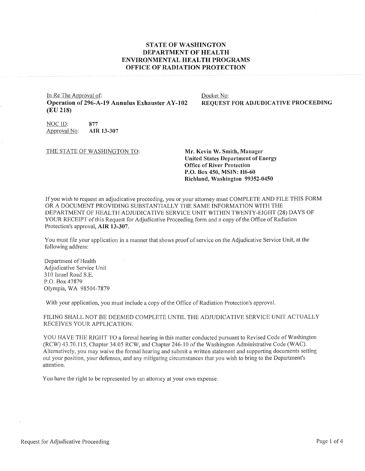# **STATE OF WASHINGTON DEPARTMENT OF HEALTH ENVIRONMENTAL HEALTH PROGRAMS OFFICE OF RADIATION PROTECTION**

In Re The Approval of: **Operation of 296-A-19 Annulus Exhauster AY-102 (EU 218)** 

Docket No: **REQUEST FOR ADJUDICATIVE PROCEEDING** 

NOC ID: **877**<br>Approval No: **AIR 13-307** Approval No:

THE STATE OF WASHINGTON TO: Mr. Kevin W. Smith, Manager

**United States Department of Energy Office of River Protection P.O. Box 450, MSIN: H6-60 Richland, Washington 99352-0450** 

If you wish to request an adjudicative proceeding, you or your attorney must COMPLETE AND FILE THIS FORM OR A DOCUMENT PROVIDING SUBSTANTIALLY THE SAME INFORMATION WITH THE DEPARTMENT OF HEALTH ADJUDICATIVE SERVICE UNIT WITHIN TWENTY-EIGHT (28) DAYS OF YOUR RECEIPT of this Request for Adjudicative Proceeding form and a copy of the Office of Radiation Protection's approval, **AIR 13-307.** 

You must file your application in a manner that shows proof of service on the Adjudicative Service Unit, at the following address:

Department of Health Adjudicative Service Unit 310 Israel Road S.E. P.O. Box 47879 Olympia, WA 98504-7879

With your application, you must include a copy of the Office of Radiation Protection's approval.

FILING SHALL NOT BE DEEMED COMPLETE UNTIL THE ADJUDICATIVE SERVICE UNIT ACTUALLY RECEIVES YOUR APPLICATION.

YOU HAVE THE RIGHT TO a formal hearing in this matter conducted pursuant to Revised Code of Washington (RCW) 43.70.115, Chapter 34.05 RCW, and Chapter 246-10 of the Washington Administrative Code (WAC). Alternatively, you may waive the formal hearing and submit a written statement and supporting documents setting out your position, your defenses, and any mitigating circumstances that you wish to bring to the Department's attention.

You have the right to be represented by an attorney at your own expense.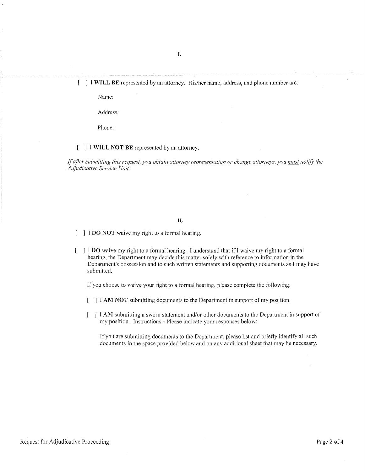#### **I WILL BE** represented by an attorney. His/her name, address, and phone number are:

Name:

Address:

Phone:

# [ ] I **WILL NOT BE** represented by an attorney.

*If after submitting this request, you obtain attorney representation or change attorneys, you must notify the Adjudicative Service Unit.* 

#### **II.**

- [ ] **I DO NOT** waive my right to a formal hearing.
- I **DO** waive my right to a formal hearing. I understand that if I waive my right to a formal hearing, the Department may decide this matter solely with reference to information in the Department's possession and to such written statements and supporting documents as I may have submitted.

If you choose to waive your right to a formal hearing, please complete the following:

- [ ] I **AM NOT** submitting documents to the Department in support of my position.
- I AM submitting a sworn statement and/or other documents to the Department in support of my position. Instructions - Please indicate your responses below:

If you are submitting documents to the Department, please list and briefly identify all such documents in the space provided below and on any additional sheet that may be necessary.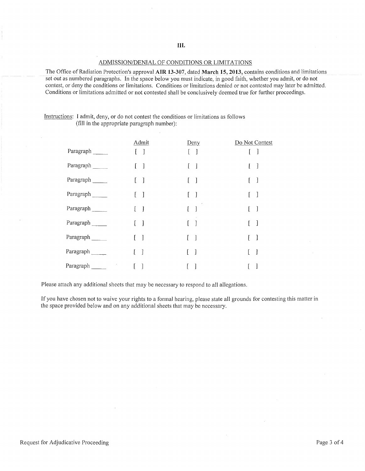# ADMISSION/DENIAL OF CONDITIONS OR LIMITATIONS

The Office of Radiation Protection's approval **AIR 13-307,** dated **March 15, 2013,** contains conditions and limitations set out as numbered paragraphs. In the space below you must indicate, in good faith, whether you admit, or do not contest, or deny the conditions or limitations. Conditions or limitations denied or not contested may later be admitted. Conditions or limitations admitted or not contested shall be conclusively deemed true for further proceedings.

| Instructions: I admit, deny, or do not contest the conditions or limitations as follows |
|-----------------------------------------------------------------------------------------|
| (fill in the appropriate paragraph number):                                             |

|           | Admit                    | Deny                              | Do Not Contest    |
|-----------|--------------------------|-----------------------------------|-------------------|
| Paragraph | $\Box$                   | $\begin{bmatrix} 1 \end{bmatrix}$ | ſ                 |
| Paragraph | $\mathbf{1}$             | 1                                 | ]                 |
| Paragraph | $\overline{\phantom{a}}$ |                                   | ]                 |
| Paragraph | $\lceil$                 | $\lceil$                          |                   |
| Paragraph | $\mathcal{I}$            | $\mathbf{r}$<br>$\mathbf{I}$      | J                 |
| Paragraph | -1                       | 1                                 | L<br>$\mathbf{1}$ |
| Paragraph | $\mathbf{I}$<br>Ł        | $\mathbf{I}$                      | L<br>1            |
| Paragraph | 1                        | $\mathbf{l}$                      | I                 |
| Paragraph |                          |                                   |                   |

Please attach any additional sheets that may be necessary to respond to all allegations.

If you have chosen not to waive your rights to a formal hearing, please state all grounds for contesting this matter in the space provided below and on any additional sheets that may be necessary.